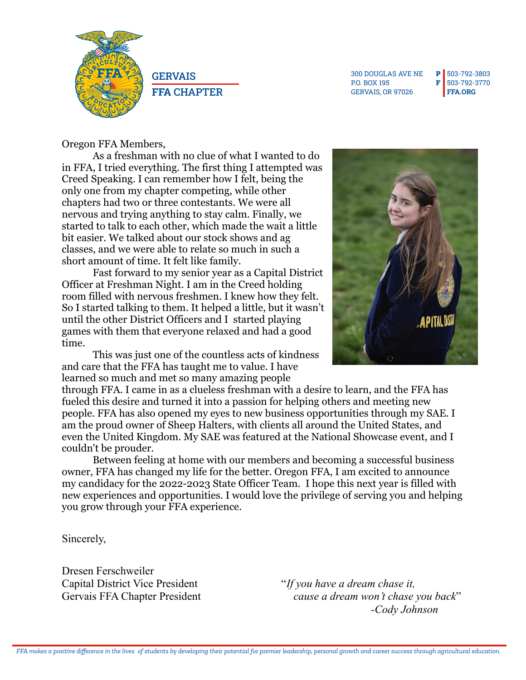

**GERVAIS FFA** CHAPTER

300 DOUGLAS AVE NE P 503-792-3803 P.O. BOX 195 GERVAIS, OR 97026

F 503-792-3770 **[FFA.ORG](https://www.ffa.org/)**

## Oregon FFA Members,

As a freshman with no clue of what I wanted to do in FFA, I tried everything. The first thing I attempted was Creed Speaking. I can remember how I felt, being the only one from my chapter competing, while other chapters had two or three contestants. We were all nervous and trying anything to stay calm. Finally, we started to talk to each other, which made the wait a little bit easier. We talked about our stock shows and ag classes, and we were able to relate so much in such a short amount of time. It felt like family.

Fast forward to my senior year as a Capital District Officer at Freshman Night. I am in the Creed holding room filled with nervous freshmen. I knew how they felt. So I started talking to them. It helped a little, but it wasn't until the other District Officers and I started playing games with them that everyone relaxed and had a good time.

This was just one of the countless acts of kindness and care that the FFA has taught me to value. I have learned so much and met so many amazing people



through FFA. I came in as a clueless freshman with a desire to learn, and the FFA has fueled this desire and turned it into a passion for helping others and meeting new people. FFA has also opened my eyes to new business opportunities through my SAE. I am the proud owner of Sheep Halters, with clients all around the United States, and even the United Kingdom. My SAE was featured at the National Showcase event, and I couldn't be prouder.

Between feeling at home with our members and becoming a successful business owner, FFA has changed my life for the better. Oregon FFA, I am excited to announce my candidacy for the 2022-2023 State Officer Team. I hope this next year is filled with new experiences and opportunities. I would love the privilege of serving you and helping you grow through your FFA experience.

Sincerely,

Dresen Ferschweiler Capital District Vice President "*If you have a dream chase it,*

Gervais FFA Chapter President *cause a dream won't chase you back*" *-Cody Johnson*